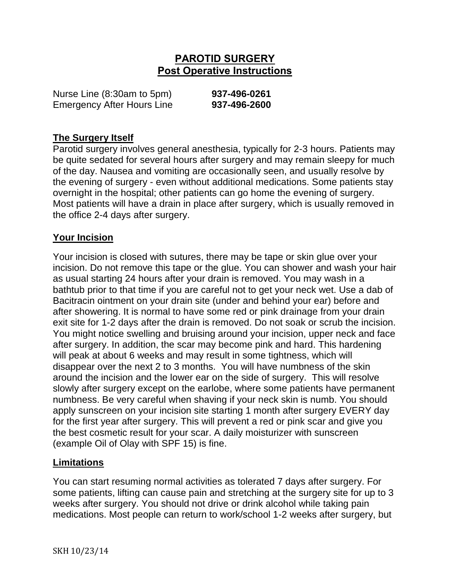# **PAROTID SURGERY Post Operative Instructions**

| Nurse Line (8:30am to 5pm)        | 937-496-0261 |
|-----------------------------------|--------------|
| <b>Emergency After Hours Line</b> | 937-496-2600 |

#### **The Surgery Itself**

Parotid surgery involves general anesthesia, typically for 2-3 hours. Patients may be quite sedated for several hours after surgery and may remain sleepy for much of the day. Nausea and vomiting are occasionally seen, and usually resolve by the evening of surgery - even without additional medications. Some patients stay overnight in the hospital; other patients can go home the evening of surgery. Most patients will have a drain in place after surgery, which is usually removed in the office 2-4 days after surgery.

#### **Your Incision**

Your incision is closed with sutures, there may be tape or skin glue over your incision. Do not remove this tape or the glue. You can shower and wash your hair as usual starting 24 hours after your drain is removed. You may wash in a bathtub prior to that time if you are careful not to get your neck wet. Use a dab of Bacitracin ointment on your drain site (under and behind your ear) before and after showering. It is normal to have some red or pink drainage from your drain exit site for 1-2 days after the drain is removed. Do not soak or scrub the incision. You might notice swelling and bruising around your incision, upper neck and face after surgery. In addition, the scar may become pink and hard. This hardening will peak at about 6 weeks and may result in some tightness, which will disappear over the next 2 to 3 months. You will have numbness of the skin around the incision and the lower ear on the side of surgery. This will resolve slowly after surgery except on the earlobe, where some patients have permanent numbness. Be very careful when shaving if your neck skin is numb. You should apply sunscreen on your incision site starting 1 month after surgery EVERY day for the first year after surgery. This will prevent a red or pink scar and give you the best cosmetic result for your scar. A daily moisturizer with sunscreen (example Oil of Olay with SPF 15) is fine.

#### **Limitations**

You can start resuming normal activities as tolerated 7 days after surgery. For some patients, lifting can cause pain and stretching at the surgery site for up to 3 weeks after surgery. You should not drive or drink alcohol while taking pain medications. Most people can return to work/school 1-2 weeks after surgery, but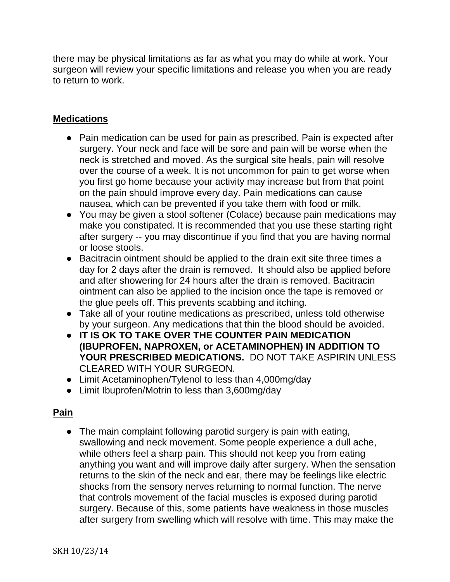there may be physical limitations as far as what you may do while at work. Your surgeon will review your specific limitations and release you when you are ready to return to work.

## **Medications**

- Pain medication can be used for pain as prescribed. Pain is expected after surgery. Your neck and face will be sore and pain will be worse when the neck is stretched and moved. As the surgical site heals, pain will resolve over the course of a week. It is not uncommon for pain to get worse when you first go home because your activity may increase but from that point on the pain should improve every day. Pain medications can cause nausea, which can be prevented if you take them with food or milk.
- You may be given a stool softener (Colace) because pain medications may make you constipated. It is recommended that you use these starting right after surgery -- you may discontinue if you find that you are having normal or loose stools.
- Bacitracin ointment should be applied to the drain exit site three times a day for 2 days after the drain is removed. It should also be applied before and after showering for 24 hours after the drain is removed. Bacitracin ointment can also be applied to the incision once the tape is removed or the glue peels off. This prevents scabbing and itching.
- Take all of your routine medications as prescribed, unless told otherwise by your surgeon. Any medications that thin the blood should be avoided.
- **IT IS OK TO TAKE OVER THE COUNTER PAIN MEDICATION (IBUPROFEN, NAPROXEN, or ACETAMINOPHEN) IN ADDITION TO**  YOUR PRESCRIBED MEDICATIONS. DO NOT TAKE ASPIRIN UNI FSS. CLEARED WITH YOUR SURGEON.
- Limit Acetaminophen/Tylenol to less than 4,000mg/day
- Limit Ibuprofen/Motrin to less than 3,600mg/day

# **Pain**

• The main complaint following parotid surgery is pain with eating, swallowing and neck movement. Some people experience a dull ache, while others feel a sharp pain. This should not keep you from eating anything you want and will improve daily after surgery. When the sensation returns to the skin of the neck and ear, there may be feelings like electric shocks from the sensory nerves returning to normal function. The nerve that controls movement of the facial muscles is exposed during parotid surgery. Because of this, some patients have weakness in those muscles after surgery from swelling which will resolve with time. This may make the